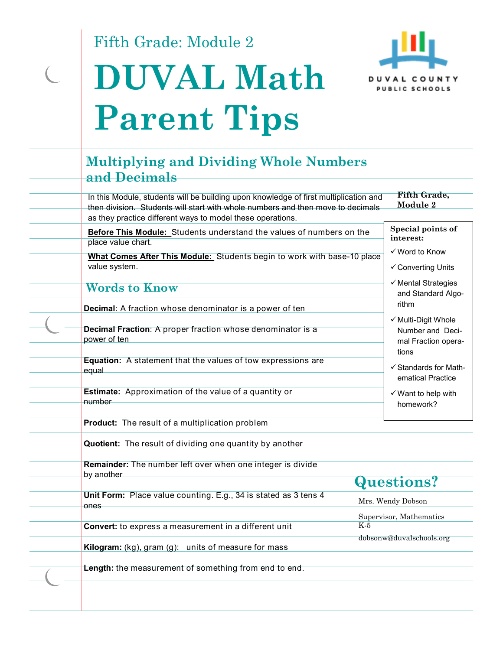Fifth Grade: Module 2





## **Multiplying and Dividing Whole Numbers and Decimals**

In this Module, students will be building upon knowledge of first multiplication and then division. Students will start with whole numbers and then move to decimals as they practice different ways to model these operations. **Fifth Grade, Module 2** 

**Before This Module:** Students understand the values of numbers on the place value chart.

**What Comes After This Module:** Students begin to work with base-10 place value system.

### **Words to Know**

**Decimal**: A fraction whose denominator is a power of ten

**Decimal Fraction**: A proper fraction whose denominator is a power of ten

**Equation:** A statement that the values of tow expressions are equal

**Estimate:** Approximation of the value of a quantity or number

**Product:** The result of a multiplication problem

**Quotient:** The result of dividing one quantity by another

**Remainder:** The number left over when one integer is divide by another

**Unit Form:** Place value counting. E.g., 34 is stated as 3 tens 4 ones

**Convert:** to express a measurement in a different unit

**Kilogram:** (kg), gram (g): units of measure for mass

**Length:** the measurement of something from end to end.

# **Questions?**

Mrs. Wendy Dobson Supervisor, Mathematics

K-5

dobsonw@duvalschools.org

**Special points of interest:** 

Word to Know

Converting Units

- $\checkmark$  Mental Strategies and Standard Algorithm
- $\checkmark$  Multi-Digit Whole Number and Decimal Fraction operations
- $\checkmark$  Standards for Mathematical Practice
- $\checkmark$  Want to help with homework?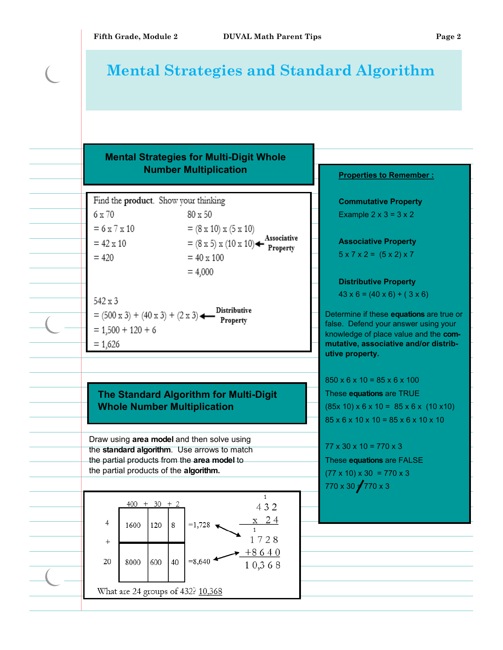## **Mental Strategies and Standard Algorithm**

### **Mental Strategies for Multi-Digit Whole Number Multiplication**

Find the product. Show your thinking  $6 \times 70$ 80 x 50  $= 6 \times 7 \times 10$  $= (8 \times 10) \times (5 \times 10)$  $=(8 \times 5) \times (10 \times 10)$  + Associative<br>Property  $= 42 \times 10$  $= 420$  $= 40 \times 100$  $= 4,000$ 

 $542 \times 3$ **Distributive**  $= (500 \times 3) + (40 \times 3) + (2 \times 3)$ Property  $= 1,500 + 120 + 6$  $= 1.626$ 

### **The Standard Algorithm for Multi-Digit Whole Number Multiplication**

Draw using **area model** and then solve using the **standard algorithm**. Use arrows to match the partial products from the **area model** to the partial products of the **algorithm.**



**Commutative Property**  Example  $2 \times 3 = 3 \times 2$ **Associative Property**   $5 \times 7 \times 2 = (5 \times 2) \times 7$ 

**Properties to Remember :** 

**Distributive Property** 

 $43 \times 6 = (40 \times 6) + (3 \times 6)$ 

Determine if these **equations** are true or false. Defend your answer using your knowledge of place value and the **commutative, associative and/or distributive property.**

 $850 \times 6 \times 10 = 85 \times 6 \times 100$ These **equations** are TRUE  $(85x 10) \times 6 \times 10 = 85 \times 6 \times (10 \times 10)$ 85 x 6 x 10 x 10 = 85 x 6 x 10 x 10

 $77 \times 30 \times 10 = 770 \times 3$ These **equations** are FALSE  $(77 \times 10) \times 30 = 770 \times 3$  $770 \times 30 \div 770 \times 3$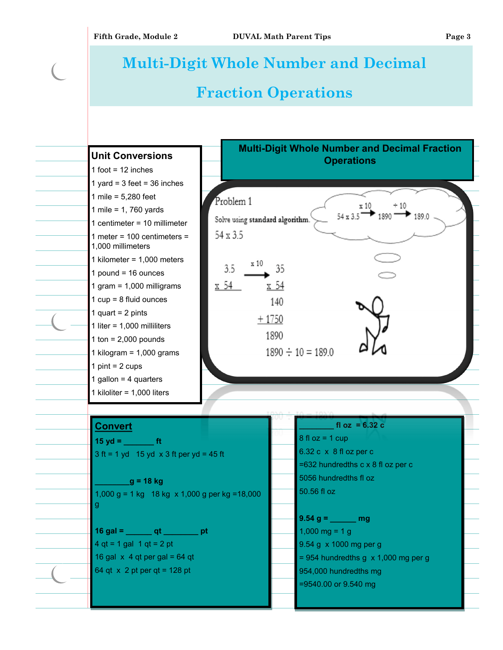# **Multi-Digit Whole Number and Decimal Fraction Operations**